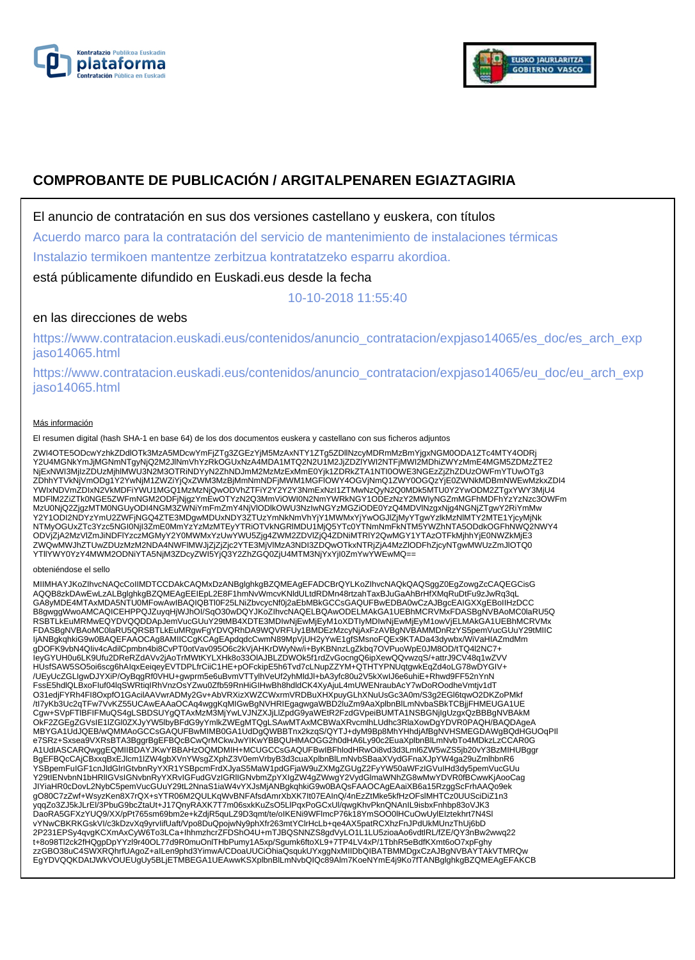



# **COMPROBANTE DE PUBLICACIÓN / ARGITALPENAREN EGIAZTAGIRIA**

El anuncio de contratación en sus dos versiones castellano y euskera, con títulos

Acuerdo marco para la contratación del servicio de mantenimiento de instalaciones térmicas

Instalazio termikoen mantentze zerbitzua kontratatzeko esparru akordioa.

está públicamente difundido en Euskadi.eus desde la fecha

10-10-2018 11:55:40

## en las direcciones de webs

https://www.contratacion.euskadi.eus/contenidos/anuncio\_contratacion/expjaso14065/es\_doc/es\_arch\_exp jaso14065.html

https://www.contratacion.euskadi.eus/contenidos/anuncio\_contratacion/expjaso14065/eu\_doc/eu\_arch\_exp jaso14065.html

### Más información

El resumen digital (hash SHA-1 en base 64) de los dos documentos euskera y castellano con sus ficheros adjuntos

ZWI4OTE5ODcwYzhkZDdlOTk3MzA5MDcwYmFjZTg3ZGEzYjM5MzAxNTY1ZTg5ZDllNzcyMDRmMzBmYjgxNGM0ODA1ZTc4MTY4ODRj<br>Y2U4MGNkYmJjMGNmNTgyNjQ2M2JlNmVhYzRkOGUxNzA4MDA1MTQ2N2U1M2JjZDZlYWI2NTFjMWI2MDhiZWYzMmE4MGM5ZDMzZTE2 NjExNWI3MjIzZDUzMjhlMWU3N2M3OTRiNDYyN2ZhNDJmM2MzMzExMmE0Yjk1ZDRkZTA1NTI0OWE3NGEzZjZhZDUzOWFmYTUwOTg3 ZDhhYTVkNjVmODg1Y2YwNjM1ZWZiYjQxZWM3MzBjMmNmNDFjMWM1MGFlOWY4OGVjNmQ1ZWY0OGQzYjE0ZWNkMDBmNWEwMzkxZDI4 YWIxNDVmZDIxN2VkMDFiYWU1MGQ1MzMzNjQwODVhZTFiY2Y2Y2Y3NmExNzI1ZTMwNzQyN2Q0MDk5MTU0Y2YwODM2ZTgxYWY3MjU4 MDFlM2ZiZTk0NGE5ZWFmNGM2ODFjNjgzYmEwOTYzN2Q3MmViOWI0N2NmYWRkNGY1ODEzNzY2MWIyNGZmMGFhMDFhYzYzNzc3OWFm MzU0NjQ2ZjgzMTM0NGUyODI4NGM3ZWNiYmFmZmY4NjVlODlkOWU3NzIwNGYzMGZiODE0YzQ4MDVlNzgxNjg4NGNjZTgwY2RiYmMw Y2Y1ODI2NDYzYmU2ZWFjNGQ4ZTE3MDgwMDUxNDY3ZTUzYmNkNmVhYjY1MWMxYjYwOGJlZjMyYTgwYzlkMzNlMTY2MTE1YjcyMjNk NTMyOGUxZTc3Yzc5NGI0NjI3ZmE0MmYzYzMzMTEyYTRiOTVkNGRIMDU1MjQ5YTc0YTNmNmFkNTM5YWZhNTA5ODdkOGFhNWQ2NWY4<br>ODVjZjA2MzVlZmJiNDFIYzczMGMyY2Y0MWMxYzUwYWU5Zjg4ZWM2ZDVIZjQ4ZDNiMTRIY2QwMGY1YTAzOTFkMjhhYjE0NWZkMjE3<br>ZWQwMWJhZTUwZDUzMzM2

#### obteniéndose el sello

MIIMHAYJKoZIhvcNAQcCoIIMDTCCDAkCAQMxDzANBglghkgBZQMEAgEFADCBrQYLKoZIhvcNAQkQAQSggZ0EgZowgZcCAQEGCisG AQQB8zkDAwEwLzALBglghkgBZQMEAgEEIEpL2E8F1hmNvWmcvKNldULtdRDMn48rtzahTaxBJuGaAhBrHfXMqRuDtFu9zJwRq3qL GA8yMDE4MTAxMDA5NTU0MFowAwIBAQIQBTl0F25LNiZbvcycNf0j2aEbMBkGCCsGAQUFBwEDBA0wCzAJBgcEAIGXXgEBoIIHzDCC B8gwggWwoAMCAQICEHPPQJZuyqHjWJhOI/SqO30wDQYJKoZIhvcNAQELBQAwODELMAkGA1UEBhMCRVMxFDASBgNVBAoMC0laRU5Q RSBTLkEuMRMwEQYDVQQDDApJemVucGUuY29tMB4XDTE3MDIwNjEwMjEyM1oXDTIyMDIwNjEwMjEyM1owVjELMAkGA1UEBhMCRVMx FDASBgNVBAoMC0laRU5QRSBTLkEuMRgwFgYDVQRhDA9WQVRFUy1BMDEzMzcyNjAxFzAVBgNVBAMMDnRzYS5pemVucGUuY29tMIIC IjANBgkqhkiG9w0BAQEFAAOCAg8AMIICCgKCAgEApdqdcCwmN89MpVjUH2yYwE1gfSMsnoFQEx9KTADa43dywbx/WiVaHIAZmdMm gDOFK9vbN4QIiv4cAdilCpmbn4bi8CvPT0otVav095O6c2kVjAHKrDWyNw/i+ByKBNnzLgZkbq7OVPuoWpE0JM8OD/tTQ4l2NC7+ IeyGYUH0u6LK9Ufu2DReRZdAVv2jAoTrMWtKYLXHk8o33OlAJBLZDWOk5f1rdZvGocngQ6ipXewQQvwzqS/+attrJ9CV48q1wZVV HUsfSAW5SO5oi6scg6hAIqxEeiqeyEVTDPLfrCiiC1HE+pOFckipE5h6Tvd7cLNupZZYM+QTHTYPNUqtgwkEqZd4oLG78wDYGIV+<br>/UEyUcZGLIgwDJYXiP/OyBqgRf0VHU+gwprm5e6uBvmVTTylhVeUf2yhMldJl+bA3yfc80u2V5kXwIJ6e6uhiE+Rhwd9FF52nYnN FssE5hdlQLBxoFIuf04lqSWRtiqIRhVnzOsYZwu0Zfb59RnHiGIHwBh8hdldCK4XyAjuL4mUWENraubAcY7wDoROodheVmtjv1dT O31edjFYRh4FI8OxpfO1GAcilAAVwrADMy2Gv+AbVRXizXWZCWxrmVRDBuXHXpuyGLhXNuUsGc3A0m/S3g2EGl6tqwO2DKZoPMkf /tl7yKb3Uc2qTFw7VvKZ55UCAwEAAaOCAq4wggKqMIGwBgNVHRIEgagwgaWBD2luZm9AaXplbnBlLmNvbaSBkTCBjjFHMEUGA1UE<br>Cgw+SVpFTlBFIFMuQS4gLSBDSUYgQTAxMzM3MjYwLVJNZXJjLlZpdG9yaWEtR2FzdGVpeiBUMTA1NSBGNjIgUzgxQzBBBgNVBAkM OkF2ZGEgZGVsIE1IZGI0ZXJyYW5lbyBFdG9yYmlkZWEgMTQgLSAwMTAxMCBWaXRvcmlhLUdhc3RlaXowDgYDVR0PAQH/BAQDAgeA<br>MBYGA1UdJQEB/wQMMAoGCCsGAQUFBwMIMB0GA1UdDgQWBBTnx2kzqSQYTJ+dyM9Bp8MhYHhdjAfBgNVHSMEGDAWgBQdHGUOqPII<br>e7SRz+Sxsea9VXRsBTA3B BgEFBQcCAjCBxxqBxEJlcm1lZW4gbXVnYWsgZXphZ3V0emVrbyB3d3cuaXplbnBlLmNvbSBaaXVydGFnaXJpYW4ga29uZmlhbnR6 YSBpemFuIGF1cnJldGlrIGtvbnRyYXR1YSBpcmFrdXJyaS5MaW1pdGFjaW9uZXMgZGUgZ2FyYW50aWFzIGVuIHd3dy5pemVucGUu Y29tIENvbnN1bHRlIGVsIGNvbnRyYXRvIGFudGVzIGRlIGNvbmZpYXIgZW4gZWwgY2VydGlmaWNhZG8wMwYDVR0fBCwwKjAooCag JIYiaHR0cDovL2NybC5pemVucGUuY29tL2NnaS1iaW4vYXJsMjANBgkqhkiG9w0BAQsFAAOCAgEAaiXB6a15RzggScFrhAAQo9ek gO80C7zZwf+WsyzKen8X7rQX+sYTR06M2QULKqWvBNFAfsdAmrXbXK7lt07EAInQ/4nEzZtMke5kfHzOFslMHTCz0UUSciDiZ1n3<br>yqqZo3ZJ5kJLrEl/3PbuG9bcZtaUt+J17QnyRAXK7T7m06sxkKuZsO5LlPqxPoGCxUl/qwgKhvPknQNAnIL9isbxFnhbp83oVJK3 DaoRA5GFXzYUQ9/XX/pPt765sm69bm2e+kZdjR5quLZ9D3qmt/te/oIKENi9WFlmcP76k18YmSOO0lHCuOwUylEIztekhrt7N4Sl vYNwCBKRKGskVI/c3kDzvXq9yrvIifUaft/Vpo8DuQpojwNy9phXfr263mtYClrHcLb+qe4AX5patRCXhzFnJPdUkMUnzThUj6bD 2P231EPSy4qvgKCXmAxCyW6To3LCa+IhhmzhcrZFDShO4U+mTJBQSNNZS8gdVyLO1L1LU5zioaAo6vdtlRL/fZE/QY3nBw2wwq22 t+8o98Tl2ck2fHQgpDpYYzl9r40OL77d9R0muOnlTHbPumy1A5xp/Sgumk6ftoXL9+7TP4LV4xP/1TbhR5eBdfKXmt6oO7xpFghy zzGBO38uC4SWXRQhrfUAgoZ+aILen9phd3YimwA/CDoaUUCiOhiaQsqukUYxggNxMIIDbQIBATBMMDgxCzAJBgNVBAYTAkVTMRQw EgYDVQQKDAtJWkVOUEUgUy5BLjETMBEGA1UEAwwKSXplbnBlLmNvbQIQc89Alm7KoeNYmE4j9Ko7fTANBglghkgBZQMEAgEFAKCB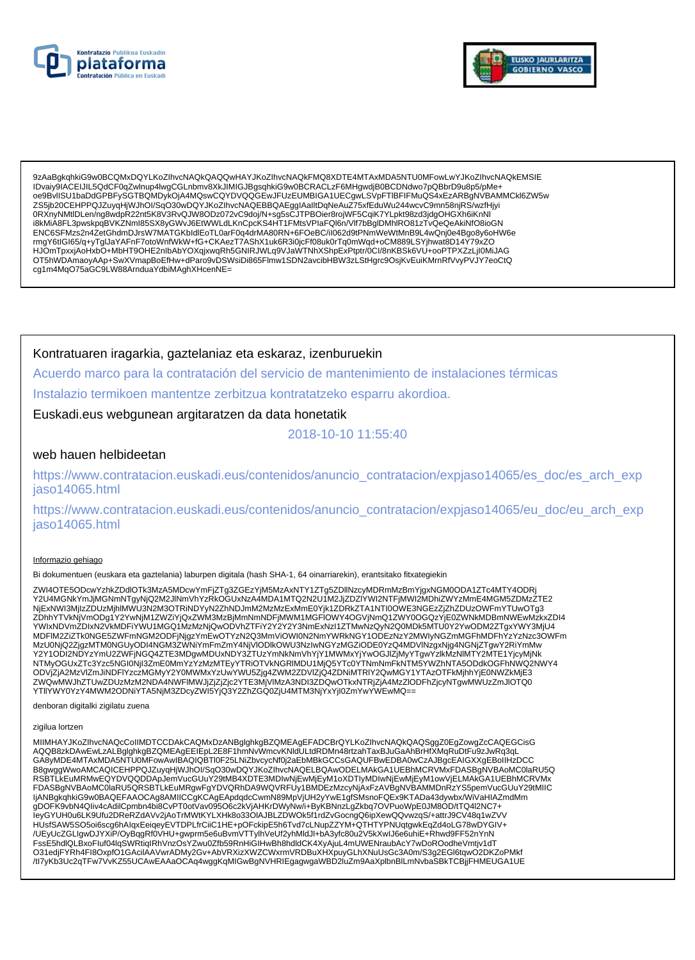



9zAaBgkghkiG9w0BCOMxDOYLKoZIbycNAQkQAQQwHAY.JKoZIbycNAQkFMQ8XDTF4MTAxMDA5NTU0MFowLwY.JKoZIbycNAQkFMSIF IDvaiv9IACEIJIL5QdCF0qZwInup4IwqCGLnbmv8XkJIMIGJBqsqhkiG9w0BCRACLzF6MHqwdjB0BCDNdwo7pQBbrD9u8p5/pMe+ oe9BvIISU1baDdGPBFySGTBQMDykOjA4MQswCQYDVQQGEwJFUzEUMBIGA1UECgwLSVpFTIBFIFMuQS4xEzARBgNVBAMMCkl6ZW5w ZS5jb20CEHPPQJZuyqHjWJhOl/SqO30wDQYJKoZlhvcNAQEBBQAEgglAalltDqNeAuZ75xfEduWu244wcvC9mn58njRS/wzfHjyi 0RXnyNMtIDLen/ng8wdpR22nt5K8V3RvQJW8ODz072vC9doj/N+sg5sCJTPBOier8rojWF5CqiK7YLpkt98zd3jdgOHGXh6iKnNl i8kMiA8FL3pwskpqBVKZNml85SX8yGWvJ6EtWWLdLKnCpcKS4HT1FMtsVPlaFQl6n/Vlf7bBgIDMhlRO81zTvQeQeAkiNfO8ioGN ENC6SFMzs2n4ZetGhdmDJrsW7MATGKbldlEoTL0arF0q4drMA80RN+6FOeBC/il062d9tPNmWeWtMnB9L4wQnj0e4Bgo8y6oHW6e rmgY6tIGI65/q+yTglJaYAFnF7otoWnfWkW+fG+CKAezT7AShX1uk6R3i0jcFf08uk0rTq0mWqd+oCM889LSYjhwat8D14Y79xZO HJOmTpxxjAoHxbO+MbHT9OHE2nlbAbYOXqjxwqRh5GNIRJWLq9VJaWTNhXShpExPtptr/0Cl/8nKBSk6VU+ooPTPXZzLjI0MiJAG OT5hWDAmaoyAAp+SwXVmapBoEfHw+dParo9vDSWsiDi865Flmw1SDN2avcibHBW3zLStHgrc9OsjKvEuiKMrnRfVvvPVJY7eoCtQ cg1m4MqO75aGC9LW88ArnduaYdbiMAghXHcenNE=

Kontratuaren iragarkia, gaztelaniaz eta eskaraz, izenburuekin

Acuerdo marco para la contratación del servicio de mantenimiento de instalaciones térmicas Instalazio termikoen mantentze zerbitzua kontratatzeko esparru akordioa.

Euskadi.eus webgunean argitaratzen da data honetatik

2018-10-10 11:55:40

### web hauen helbideetan

https://www.contratacion.euskadi.eus/contenidos/anuncio\_contratacion/expjaso14065/es\_doc/es\_arch\_exp iaso14065.html

https://www.contratacion.euskadi.eus/contenidos/anuncio\_contratacion/expjaso14065/eu\_doc/eu\_arch\_exp jaso14065.html

#### Informazio gehiago

Bi dokumentuen (euskara eta gaztelania) laburpen digitala (hash SHA-1, 64 oinarriarekin), erantsitako fitxategiekin

ZWI4OTE5ODcwYzhkZDdlOTk3MzA5MDcwYmFjZTg3ZGEzYjM5MzAxNTY1ZTg5ZDllNzcyMDRmMzBmYjgxNGM0ODA1ZTc4MTY4ODRj<br>Y2U4MGNkYmJjMGNmNTgyNjQ2M2JlNmVhYzRkOGUxNzA4MDA1MTQ2N2U1M2JjZDZIYWI2NTFjMWI2MDhiZWYzMmE4MGM5ZDMzZTE2 NjExNWI3MjIzZDUzMjhIMWU3N2M3OTRiNDYyN2ZhNDJmM2MzMzExMmE0Yjk1ZDRkZTA1NTI0OWE3NGEzZjZhZDUzOWFmYTUwOTg3 ZDhhYTVkNjVmODg1Y2YwNjM1ZWZiYjQxZWM3MzBjMmNmNDFjMWM1MGFIOWY4OGVjNmQ1ZWY0OGQzYjE0ZWNkMDBmNWEwMzkxZDI4 YWIxNDVmZDIxN2VkMDFiYWU1MGQ1MzMzNjQwODVhZTFiY2Y2Y2Y3NmExNzI1ZTMwNzQyN2Q0MDk5MTU0Y2YwODM2ZTgxYWY3MjU4 MDFIM2ZiZTk0NGE5ZWFmNGM2ODFjNjgzYmEwOTYzN2Q3MmViOWI0N2NmYWRkNGY1ODEzNzY2MWIyNGZmMGFhMDFhYzYzNzc3OWFm MzU0NjQ2ZjgzMTM0NGUyODI4NGM3ZWNiYmFmZmY4NjVIODIkOWU3NzlwNGYzMGZiODE0YzQ4MDVINzgxNjg4NGNjZTgwY2RiYmMw<br>Y2Y1ODI2NDYzYmU2ZWFjNGQ4ZTE3MDgwMDUxNDY3ZTUzYmNkNmVhYjY1MWMxYjYwOGJIZjMyYTgwYzlkMzNIMTY2MTE1YjcyMjNk<br>NTMyOGUxZTc3Yzc5NGI0 ODVIZIA2MzVIZmJiNDFIYzczMGMVY2Y0MWMxYzUwYWU5Ziq4ZWM2ZDVIZiQ4ZDNiMTRIY2QwMGY1YTAzOTFkMihhYiE0NWZkMiE3 OU VEHALUM UNIVERSITYI ATTA TURE UNIVERSITYI VALTALUM UNIVERSITYI TAIMU UNIVERSITYI TAASTI NIVIII TUOMAANILES<br>TUVQWMWJhZTUwZDUzMzM2NDA4NWFIMWJjZjZjc2YTE3MjVIMzA3NDI3ZDQwOTkxNTRjZjA4MzZIODFhZjcyNTgwMWUzZmJIOTQ0<br>YTIIYWY0YzY4

denboran digitalki zigilatu zuena

#### zigilua lortzen

MIIMHAYJKoZIhvcNAQcCoIIMDTCCDAkCAQMxDzANBglghkgBZQMEAgEFADCBrQYLKoZIhvcNAQkQAQSggZ0EgZowgZcCAQEGCisG AQQB8zkDAwEwLzALBglghkgBZQMEAgEEIEpL2E8F1hmNvWmcvKNldULtdRDMn48rtzahTaxBJuGaAhBrHfXMqRuDtFu9zJwRq3qL<br>GA8yMDE4MTAxMDA5NTU0MFowAwIBAQIQBTI0F25LNiZbvcycNf0j2aEbMBkGCCsGAQUFBwEDBA0wCzAJBgcEAIGXXgEBoIIHzDCC ERGWIND MARIA WARD WAS ARRESTED FOR A MARIA WAS ARRESTED ON A SUBMISSION OF A MARIA CONSUMING A SUBMISSION OF A<br>RSBTLKEUMRMWEQYDVQQDDApJemVucGUuY29tMB4XDTE3MDIwNjEwMjEyM1oXDTIyMDIwNjEwMjEyM1owVjELMAkGA1UEBhMCRVMx FDASBgNVBAoMC0laRU5QRSBTLkEuMRgwFgYDVQRhDA9WQVRFUy1BMDEzMzcyNjAxFzAVBgNVBAMMDnRzYS5pemVucGUuY29tMIIC ljANBgkqhkiG9w0BAQEFAAOCAg8AMIICCgKCAgEApdqdcCwmN89MpVjUH2yYwE1gfSMsnoFQEx9KTADa43dywbx/WiVaHIAZmdMm gDOFK9vbN4Qliv4cAdilCpmbn4bi8CvPT0otVav095O6c2kVjAHKrDWyNw/i+ByKBNnzLgZkbq7OVPuoWpE0JM8OD/tTQ4l2NC7+ IeyGYUH0u6LK9Ufu2DReRZdAVv2jAoTrMWtKYLXHk8o33OIAJBLZDWOk5f1rdZvGocngQ6ipXewQQvwzqS/+attrJ9CV48q1wZVV HUsfSAW5SO5oi6scg6hAlqxEeiqeyEVTDPLfrCiiC1HE+pOFckipE5h6Tvd7cLNupZZYM+QTHTYPNUqtgwkEqZd4oLG78wDYGIV+ /UEyUcZGLIgwDJYXiP/OyBqgRf0VHU+gwprm5e6uBvmVTTylhVeUf2yhMldJl+bA3yfc80u2V5kXwlJ6e6uhiE+Rhwd9FF52nYnN FssE5hdlQLBxoFluf04lqSWRtiqIRhVnzOsYZwu0Zfb59RnHiGIHwBh8hdldCK4XyAjuL4mUWENraubAcY7wDoROodheVmtjv1dT<br>O31edjFYRh4Fl8OxpfO1GAcilAAVwrADMy2Gv+AbVRXizXWZCWxrmVRDBuXHXpuyGLhXNuUsGc3A0m/S3g2EGl6tqwO2DKZoPMkf /tl7yKb3Uc2qTFw7VvKZ55UCAwEAAaOCAq4wggKqMIGwBgNVHRIEgagwgaWBD2luZm9AaXplbnBlLmNvbaSBkTCBjjFHMEUGA1UE